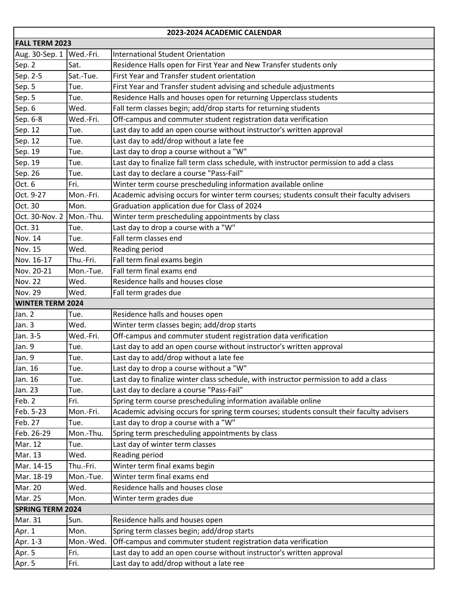| 2023-2024 ACADEMIC CALENDAR |           |                                                                                           |  |  |
|-----------------------------|-----------|-------------------------------------------------------------------------------------------|--|--|
| <b>FALL TERM 2023</b>       |           |                                                                                           |  |  |
| Aug. 30-Sep. 1              | Wed.-Fri. | International Student Orientation                                                         |  |  |
| Sep. 2                      | Sat.      | Residence Halls open for First Year and New Transfer students only                        |  |  |
| Sep. 2-5                    | Sat.-Tue. | First Year and Transfer student orientation                                               |  |  |
| Sep. 5                      | Tue.      | First Year and Transfer student advising and schedule adjustments                         |  |  |
| Sep. 5                      | Tue.      | Residence Halls and houses open for returning Upperclass students                         |  |  |
| Sep. 6                      | Wed.      | Fall term classes begin; add/drop starts for returning students                           |  |  |
| Sep. 6-8                    | Wed.-Fri. | Off-campus and commuter student registration data verification                            |  |  |
| Sep. 12                     | Tue.      | Last day to add an open course without instructor's written approval                      |  |  |
| Sep. 12                     | Tue.      | Last day to add/drop without a late fee                                                   |  |  |
| Sep. 19                     | Tue.      | Last day to drop a course without a "W"                                                   |  |  |
| Sep. 19                     | Tue.      | Last day to finalize fall term class schedule, with instructor permission to add a class  |  |  |
| Sep. 26                     | Tue.      | Last day to declare a course "Pass-Fail"                                                  |  |  |
| Oct. 6                      | Fri.      | Winter term course prescheduling information available online                             |  |  |
| Oct. 9-27                   | Mon.-Fri. | Academic advising occurs for winter term courses; students consult their faculty advisers |  |  |
| Oct. 30                     | Mon.      | Graduation application due for Class of 2024                                              |  |  |
| Oct. 30-Nov. 2              | Mon.-Thu. | Winter term prescheduling appointments by class                                           |  |  |
| Oct. 31                     | Tue.      | Last day to drop a course with a "W"                                                      |  |  |
| Nov. 14                     | Tue.      | Fall term classes end                                                                     |  |  |
| Nov. 15                     | Wed.      | Reading period                                                                            |  |  |
| Nov. 16-17                  | Thu.-Fri. | Fall term final exams begin                                                               |  |  |
| Nov. 20-21                  | Mon.-Tue. | Fall term final exams end                                                                 |  |  |
| <b>Nov. 22</b>              | Wed.      | Residence halls and houses close                                                          |  |  |
| <b>Nov. 29</b>              | Wed.      | Fall term grades due                                                                      |  |  |
| <b>WINTER TERM 2024</b>     |           |                                                                                           |  |  |
| Jan. 2                      | Tue.      | Residence halls and houses open                                                           |  |  |
| Jan. 3                      | Wed.      | Winter term classes begin; add/drop starts                                                |  |  |
| Jan. 3-5                    | Wed.-Fri. | Off-campus and commuter student registration data verification                            |  |  |
| Jan. 9                      | Tue.      | Last day to add an open course without instructor's written approval                      |  |  |
| Jan. 9                      | Tue.      | Last day to add/drop without a late fee                                                   |  |  |
| Jan. 16                     | Tue.      | Last day to drop a course without a "W"                                                   |  |  |
| Jan. 16                     | Tue.      | Last day to finalize winter class schedule, with instructor permission to add a class     |  |  |
| Jan. 23                     | Tue.      | Last day to declare a course "Pass-Fail"                                                  |  |  |
| Feb. 2                      | Fri.      | Spring term course prescheduling information available online                             |  |  |
| Feb. 5-23                   | Mon.-Fri. | Academic advising occurs for spring term courses; students consult their faculty advisers |  |  |
| Feb. 27                     | Tue.      | Last day to drop a course with a "W"                                                      |  |  |
| Feb. 26-29                  | Mon.-Thu. | Spring term prescheduling appointments by class                                           |  |  |
| Mar. 12                     | Tue.      | Last day of winter term classes                                                           |  |  |
| Mar. 13                     | Wed.      | Reading period                                                                            |  |  |
| Mar. 14-15                  | Thu.-Fri. | Winter term final exams begin                                                             |  |  |
| Mar. 18-19                  | Mon.-Tue. | Winter term final exams end                                                               |  |  |
| Mar. 20                     | Wed.      | Residence halls and houses close                                                          |  |  |
| Mar. 25                     | Mon.      | Winter term grades due                                                                    |  |  |
| <b>SPRING TERM 2024</b>     |           |                                                                                           |  |  |
| Mar. 31                     | Sun.      | Residence halls and houses open                                                           |  |  |
| Apr. 1                      | Mon.      | Spring term classes begin; add/drop starts                                                |  |  |
| Apr. 1-3                    | Mon.-Wed. | Off-campus and commuter student registration data verification                            |  |  |
| Apr. 5                      | Fri.      | Last day to add an open course without instructor's written approval                      |  |  |
| Apr. 5                      | Fri.      | Last day to add/drop without a late ree                                                   |  |  |